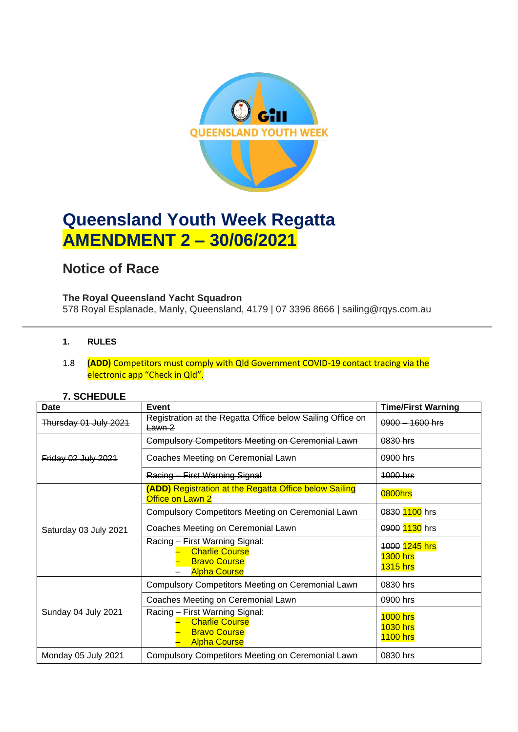

# **Queensland Youth Week Regatta AMENDMENT 2 – 30/06/2021**

# **Notice of Race**

## **The Royal Queensland Yacht Squadron**

578 Royal Esplanade, Manly, Queensland, 4179 | 07 3396 8666 | sailing@rqys.com.au

### **1. RULES**

#### 1.8 **(ADD)** Competitors must comply with Qld Government COVID-19 contact tracing via the electronic app "Check in Qld".

#### **7. SCHEDULE**

| Date                  | Event                                                                                                 | <b>Time/First Warning</b>                             |
|-----------------------|-------------------------------------------------------------------------------------------------------|-------------------------------------------------------|
| Thursday 01 July 2021 | Registration at the Regatta Office below Sailing Office on<br>Lawn 2                                  | $0900 - 1600$ hrs                                     |
| Friday 02 July 2021   | <b>Compulsory Competitors Meeting on Ceremonial Lawn</b>                                              | 0830 hrs                                              |
|                       | <b>Coaches Meeting on Ceremonial Lawn</b>                                                             | 0900 hrs                                              |
|                       | Racing - First Warning Signal                                                                         | $1000$ hrs                                            |
| Saturday 03 July 2021 | <b>(ADD)</b> Registration at the Regatta Office below Sailing<br>Office on Lawn 2                     | 0800hrs                                               |
|                       | Compulsory Competitors Meeting on Ceremonial Lawn                                                     | 0830 1100 hrs                                         |
|                       | Coaches Meeting on Ceremonial Lawn                                                                    | 0900 1130 hrs                                         |
|                       | Racing - First Warning Signal:<br><b>Charlie Course</b><br><b>Bravo Course</b><br><b>Alpha Course</b> | 1000 1245 hrs<br>$1300$ hrs<br><b>1315 hrs</b>        |
| Sunday 04 July 2021   | Compulsory Competitors Meeting on Ceremonial Lawn                                                     | 0830 hrs                                              |
|                       | Coaches Meeting on Ceremonial Lawn                                                                    | 0900 hrs                                              |
|                       | Racing - First Warning Signal:<br><b>Charlie Course</b><br><b>Bravo Course</b><br><b>Alpha Course</b> | <b>1000 hrs</b><br><b>1030 hrs</b><br><b>1100 hrs</b> |
| Monday 05 July 2021   | Compulsory Competitors Meeting on Ceremonial Lawn                                                     | 0830 hrs                                              |